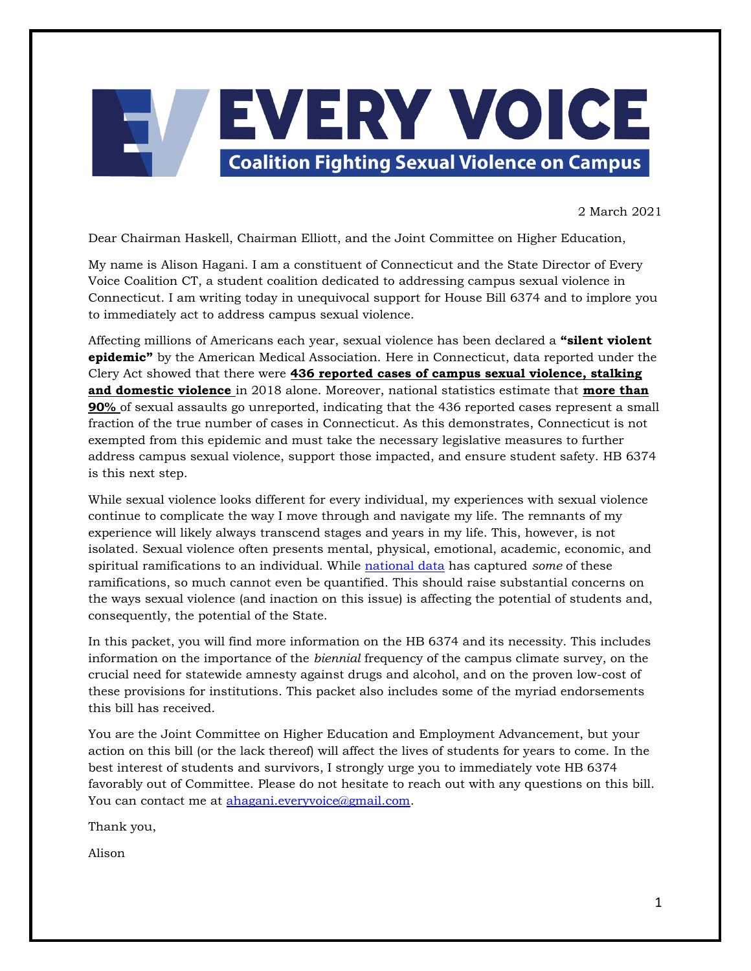

2 March 2021

Dear Chairman Haskell, Chairman Elliott, and the Joint Committee on Higher Education,

My name is Alison Hagani. I am a constituent of Connecticut and the State Director of Every Voice Coalition CT, a student coalition dedicated to addressing campus sexual violence in Connecticut. I am writing today in unequivocal support for House Bill 6374 and to implore you to immediately act to address campus sexual violence.

Affecting millions of Americans each year, sexual violence has been declared a **"silent violent epidemic"** by the American Medical Association. Here in Connecticut, data reported under the Clery Act showed that there were **[436 reported cases of campus sexual violence, stalking](https://ope.ed.gov/campussafety/Trend/public/#/answer/1/101/main?row=-1&column=-1)  [and domestic violence](https://ope.ed.gov/campussafety/Trend/public/#/answer/1/101/main?row=-1&column=-1)** in 2018 alone. Moreover, national statistics estimate that **[more than](https://www.nsvrc.org/sites/default/files/publications_nsvrc_factsheet_media-packet_campus-sexual-assault.pdf)  [90%](https://www.nsvrc.org/sites/default/files/publications_nsvrc_factsheet_media-packet_campus-sexual-assault.pdf)** of sexual assaults go unreported, indicating that the 436 reported cases represent a small fraction of the true number of cases in Connecticut. As this demonstrates, Connecticut is not exempted from this epidemic and must take the necessary legislative measures to further address campus sexual violence, support those impacted, and ensure student safety. HB 6374 is this next step.

While sexual violence looks different for every individual, my experiences with sexual violence continue to complicate the way I move through and navigate my life. The remnants of my experience will likely always transcend stages and years in my life. This, however, is not isolated. Sexual violence often presents mental, physical, emotional, academic, economic, and spiritual ramifications to an individual. While [national data](https://www.rainn.org/effects-sexual-violence) has captured *some* of these ramifications, so much cannot even be quantified. This should raise substantial concerns on the ways sexual violence (and inaction on this issue) is affecting the potential of students and, consequently, the potential of the State.

In this packet, you will find more information on the HB 6374 and its necessity. This includes information on the importance of the *biennial* frequency of the campus climate survey, on the crucial need for statewide amnesty against drugs and alcohol, and on the proven low-cost of these provisions for institutions. This packet also includes some of the myriad endorsements this bill has received.

You are the Joint Committee on Higher Education and Employment Advancement, but your action on this bill (or the lack thereof) will affect the lives of students for years to come. In the best interest of students and survivors, I strongly urge you to immediately vote HB 6374 favorably out of Committee. Please do not hesitate to reach out with any questions on this bill. You can contact me at [ahagani.everyvoice@gmail.com.](mailto:ahagani.everyvoice@gmail.com)

Thank you,

Alison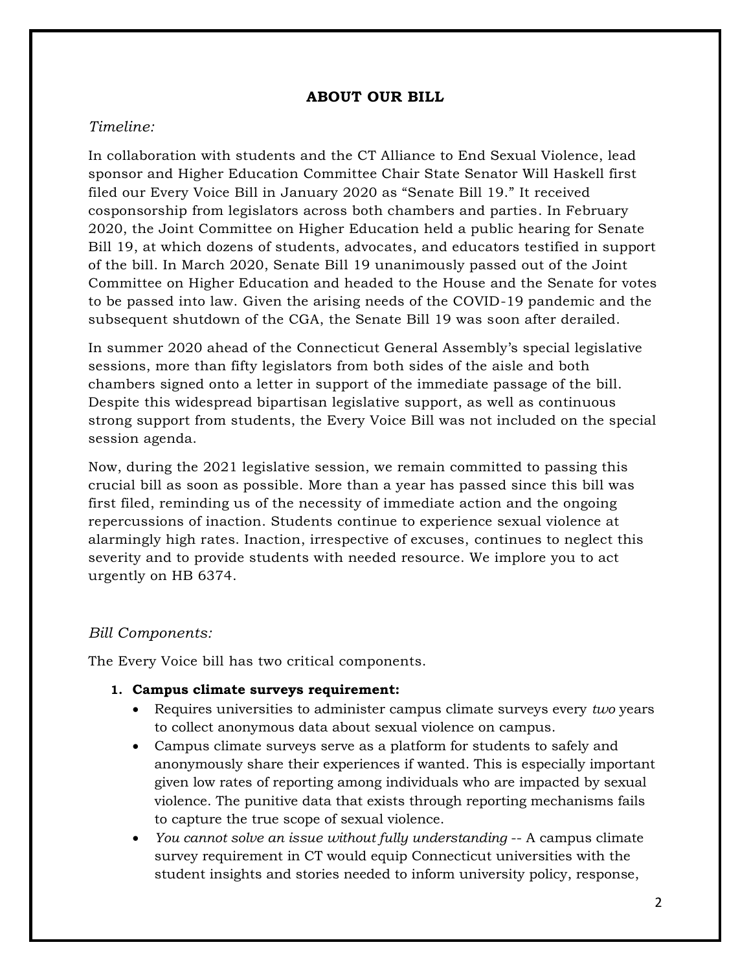## **ABOUT OUR BILL**

## *Timeline:*

In collaboration with students and the CT Alliance to End Sexual Violence, lead sponsor and Higher Education Committee Chair State Senator Will Haskell first filed our Every Voice Bill in January 2020 as "Senate Bill 19." It received cosponsorship from legislators across both chambers and parties. In February 2020, the Joint Committee on Higher Education held a public hearing for Senate Bill 19, at which dozens of students, advocates, and educators testified in support of the bill. In March 2020, Senate Bill 19 unanimously passed out of the Joint Committee on Higher Education and headed to the House and the Senate for votes to be passed into law. Given the arising needs of the COVID-19 pandemic and the subsequent shutdown of the CGA, the Senate Bill 19 was soon after derailed.

In summer 2020 ahead of the Connecticut General Assembly's special legislative sessions, more than fifty legislators from both sides of the aisle and both chambers signed onto a letter in support of the immediate passage of the bill. Despite this widespread bipartisan legislative support, as well as continuous strong support from students, the Every Voice Bill was not included on the special session agenda.

Now, during the 2021 legislative session, we remain committed to passing this crucial bill as soon as possible. More than a year has passed since this bill was first filed, reminding us of the necessity of immediate action and the ongoing repercussions of inaction. Students continue to experience sexual violence at alarmingly high rates. Inaction, irrespective of excuses, continues to neglect this severity and to provide students with needed resource. We implore you to act urgently on HB 6374.

## *Bill Components:*

The Every Voice bill has two critical components.

- **1. Campus climate surveys requirement:**
	- Requires universities to administer campus climate surveys every *two* years to collect anonymous data about sexual violence on campus.
	- Campus climate surveys serve as a platform for students to safely and anonymously share their experiences if wanted. This is especially important given low rates of reporting among individuals who are impacted by sexual violence. The punitive data that exists through reporting mechanisms fails to capture the true scope of sexual violence.
	- *You cannot solve an issue without fully understanding* -- A campus climate survey requirement in CT would equip Connecticut universities with the student insights and stories needed to inform university policy, response,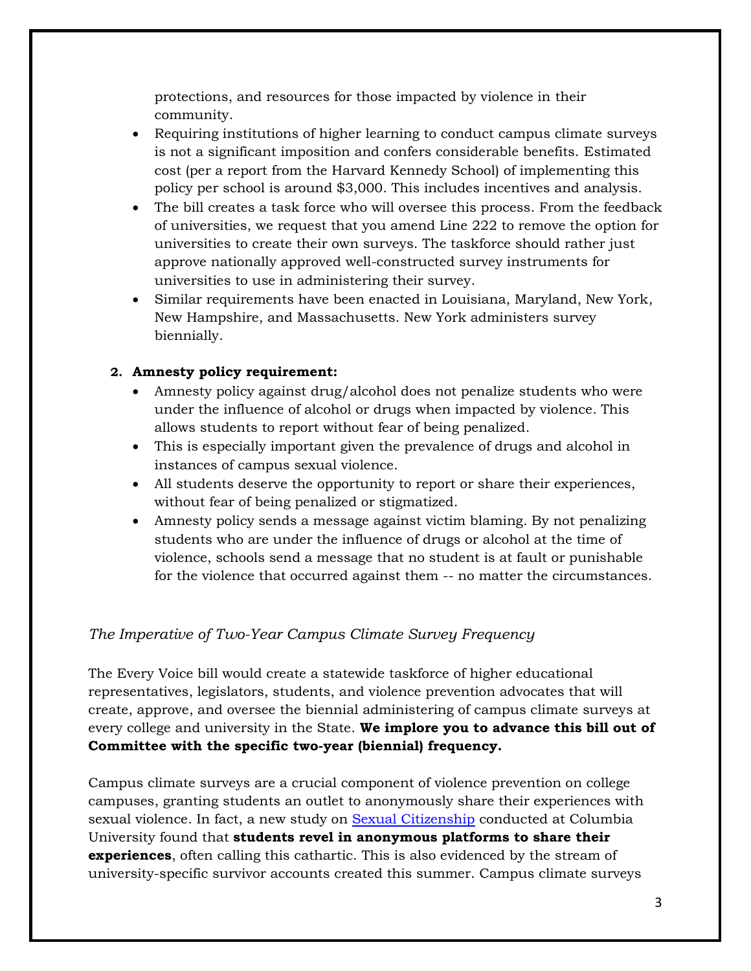protections, and resources for those impacted by violence in their community.

- Requiring institutions of higher learning to conduct campus climate surveys is not a significant imposition and confers considerable benefits. Estimated cost (per a report from the Harvard Kennedy School) of implementing this policy per school is around \$3,000. This includes incentives and analysis.
- The bill creates a task force who will oversee this process. From the feedback of universities, we request that you amend Line 222 to remove the option for universities to create their own surveys. The taskforce should rather just approve nationally approved well-constructed survey instruments for universities to use in administering their survey.
- Similar requirements have been enacted in Louisiana, Maryland, New York, New Hampshire, and Massachusetts. New York administers survey biennially.

# **2. Amnesty policy requirement:**

- Amnesty policy against drug/alcohol does not penalize students who were under the influence of alcohol or drugs when impacted by violence. This allows students to report without fear of being penalized.
- This is especially important given the prevalence of drugs and alcohol in instances of campus sexual violence.
- All students deserve the opportunity to report or share their experiences, without fear of being penalized or stigmatized.
- Amnesty policy sends a message against victim blaming. By not penalizing students who are under the influence of drugs or alcohol at the time of violence, schools send a message that no student is at fault or punishable for the violence that occurred against them -- no matter the circumstances.

# *The Imperative of Two-Year Campus Climate Survey Frequency*

The Every Voice bill would create a statewide taskforce of higher educational representatives, legislators, students, and violence prevention advocates that will create, approve, and oversee the biennial administering of campus climate surveys at every college and university in the State. **We implore you to advance this bill out of Committee with the specific two-year (biennial) frequency.**

Campus climate surveys are a crucial component of violence prevention on college campuses, granting students an outlet to anonymously share their experiences with sexual violence. In fact, a new study on [Sexual Citizenship](https://wwnorton.com/books/sexual-citizens) conducted at Columbia University found that **students revel in anonymous platforms to share their experiences**, often calling this cathartic. This is also evidenced by the stream of university-specific survivor accounts created this summer. Campus climate surveys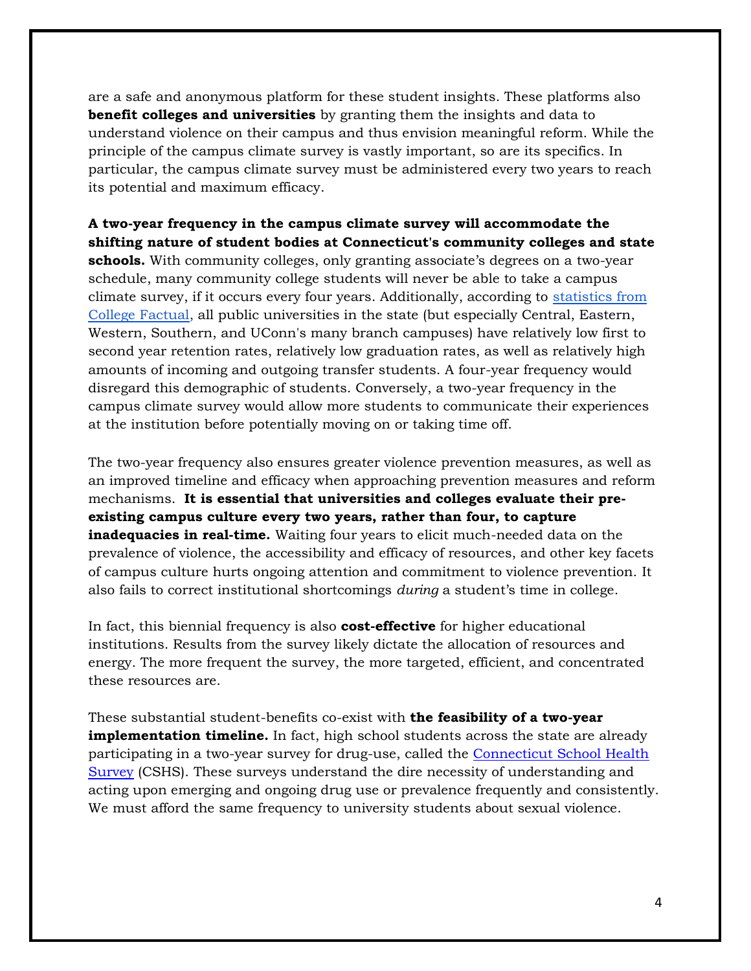are a safe and anonymous platform for these student insights. These platforms also **benefit colleges and universities** by granting them the insights and data to understand violence on their campus and thus envision meaningful reform. While the principle of the campus climate survey is vastly important, so are its specifics. In particular, the campus climate survey must be administered every two years to reach its potential and maximum efficacy.

**A two-year frequency in the campus climate survey will accommodate the shifting nature of student bodies at Connecticut's community colleges and state schools.** With community colleges, only granting associate's degrees on a two-year schedule, many community college students will never be able to take a campus climate survey, if it occurs every four years. Additionally, according to [statistics from](https://docs.google.com/document/d/1YYHpnH76OYr0bWZDXKYg0yiq8IvwVLOgyPvts1p56ZE/edit?usp=sharing)  [College Factual,](https://docs.google.com/document/d/1YYHpnH76OYr0bWZDXKYg0yiq8IvwVLOgyPvts1p56ZE/edit?usp=sharing) all public universities in the state (but especially Central, Eastern, Western, Southern, and UConn's many branch campuses) have relatively low first to second year retention rates, relatively low graduation rates, as well as relatively high amounts of incoming and outgoing transfer students. A four-year frequency would disregard this demographic of students. Conversely, a two-year frequency in the campus climate survey would allow more students to communicate their experiences at the institution before potentially moving on or taking time off.

The two-year frequency also ensures greater violence prevention measures, as well as an improved timeline and efficacy when approaching prevention measures and reform mechanisms. **It is essential that universities and colleges evaluate their preexisting campus culture every two years, rather than four, to capture inadequacies in real-time.** Waiting four years to elicit much-needed data on the prevalence of violence, the accessibility and efficacy of resources, and other key facets of campus culture hurts ongoing attention and commitment to violence prevention. It also fails to correct institutional shortcomings *during* a student's time in college.

In fact, this biennial frequency is also **cost-effective** for higher educational institutions. Results from the survey likely dictate the allocation of resources and energy. The more frequent the survey, the more targeted, efficient, and concentrated these resources are.

These substantial student-benefits co-exist with **the feasibility of a two-year implementation timeline.** In fact, high school students across the state are already participating in a two-year survey for drug-use, called the [Connecticut School Health](https://portal.ct.gov/dph/Health-Information-Systems--Reporting/Hisrhome/Connecticut-School-Health-Survey)  [Survey](https://portal.ct.gov/dph/Health-Information-Systems--Reporting/Hisrhome/Connecticut-School-Health-Survey) (CSHS). These surveys understand the dire necessity of understanding and acting upon emerging and ongoing drug use or prevalence frequently and consistently. We must afford the same frequency to university students about sexual violence.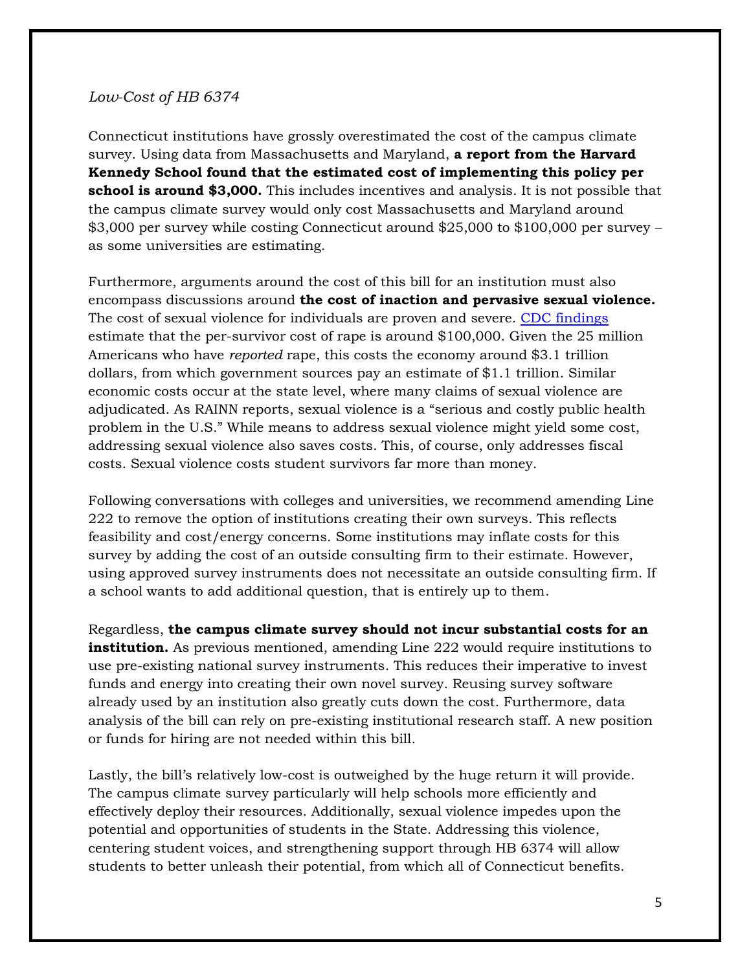## *Low-Cost of HB 6374*

Connecticut institutions have grossly overestimated the cost of the campus climate survey. Using data from Massachusetts and Maryland, **a report from the Harvard Kennedy School found that the estimated cost of implementing this policy per school is around \$3,000.** This includes incentives and analysis. It is not possible that the campus climate survey would only cost Massachusetts and Maryland around \$3,000 per survey while costing Connecticut around \$25,000 to \$100,000 per survey – as some universities are estimating.

Furthermore, arguments around the cost of this bill for an institution must also encompass discussions around **the cost of inaction and pervasive sexual violence.** The cost of sexual violence for individuals are proven and severe. [CDC findings](https://www.nsvrc.org/blogs/cost-rape) estimate that the per-survivor cost of rape is around \$100,000. Given the 25 million Americans who have *reported* rape, this costs the economy around \$3.1 trillion dollars, from which government sources pay an estimate of \$1.1 trillion. Similar economic costs occur at the state level, where many claims of sexual violence are adjudicated. As RAINN reports, sexual violence is a "serious and costly public health problem in the U.S." While means to address sexual violence might yield some cost, addressing sexual violence also saves costs. This, of course, only addresses fiscal costs. Sexual violence costs student survivors far more than money.

Following conversations with colleges and universities, we recommend amending Line 222 to remove the option of institutions creating their own surveys. This reflects feasibility and cost/energy concerns. Some institutions may inflate costs for this survey by adding the cost of an outside consulting firm to their estimate. However, using approved survey instruments does not necessitate an outside consulting firm. If a school wants to add additional question, that is entirely up to them.

Regardless, **the campus climate survey should not incur substantial costs for an institution.** As previous mentioned, amending Line 222 would require institutions to use pre-existing national survey instruments. This reduces their imperative to invest funds and energy into creating their own novel survey. Reusing survey software already used by an institution also greatly cuts down the cost. Furthermore, data analysis of the bill can rely on pre-existing institutional research staff. A new position or funds for hiring are not needed within this bill.

Lastly, the bill's relatively low-cost is outweighed by the huge return it will provide. The campus climate survey particularly will help schools more efficiently and effectively deploy their resources. Additionally, sexual violence impedes upon the potential and opportunities of students in the State. Addressing this violence, centering student voices, and strengthening support through HB 6374 will allow students to better unleash their potential, from which all of Connecticut benefits.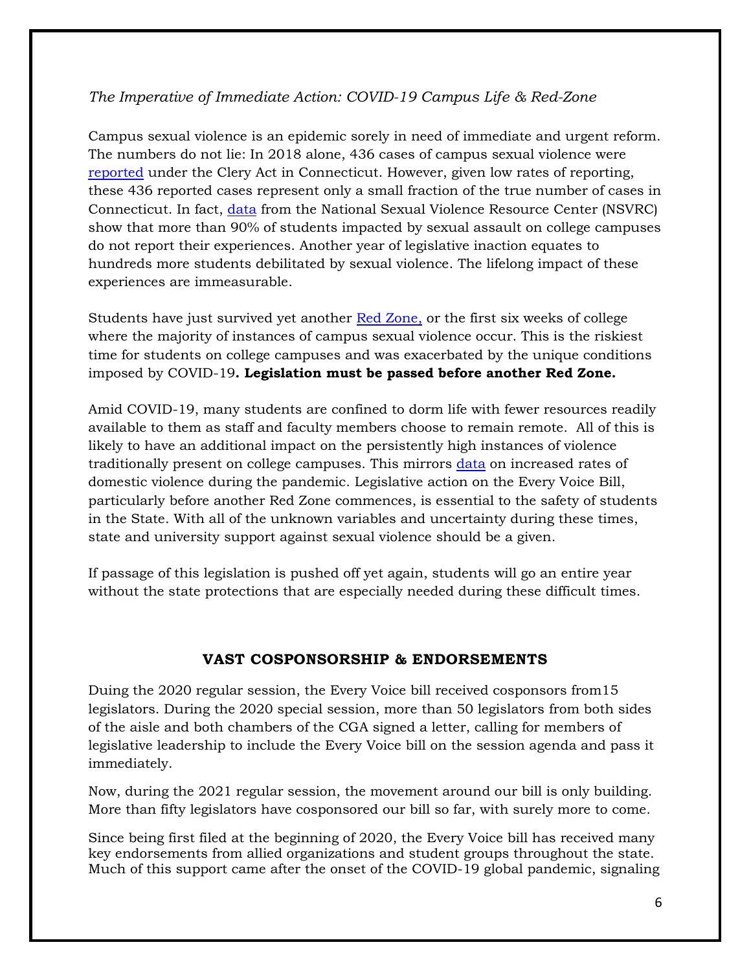# *The Imperative of Immediate Action: COVID-19 Campus Life & Red-Zone*

Campus sexual violence is an epidemic sorely in need of immediate and urgent reform. The numbers do not lie: In 2018 alone, 436 cases of campus sexual violence were [reported](https://ope.ed.gov/campussafety/#/) under the Clery Act in Connecticut. However, given low rates of reporting, these 436 reported cases represent only a small fraction of the true number of cases in Connecticut. In fact, [data](https://www.rainn.org/statistics/campus-sexual-violence) from the National Sexual Violence Resource Center (NSVRC) show that more than 90% of students impacted by sexual assault on college campuses do not report their experiences. Another year of legislative inaction equates to hundreds more students debilitated by sexual violence. The lifelong impact of these experiences are immeasurable.

Students have just survived yet another [Red Zone,](http://ccwrc.org/blog/what-every-college-student-needs-to-know-about-sexual-assault-acquaintance-rape-and-the-red-zone/) or the first six weeks of college where the majority of instances of campus sexual violence occur. This is the riskiest time for students on college campuses and was exacerbated by the unique conditions imposed by COVID-19**. Legislation must be passed before another Red Zone.**

Amid COVID-19, many students are confined to dorm life with fewer resources readily available to them as staff and faculty members choose to remain remote. All of this is likely to have an additional impact on the persistently high instances of violence traditionally present on college campuses. This mirrors [data](https://www.nejm.org/doi/full/10.1056/NEJMp2024046) on increased rates of domestic violence during the pandemic. Legislative action on the Every Voice Bill, particularly before another Red Zone commences, is essential to the safety of students in the State. With all of the unknown variables and uncertainty during these times, state and university support against sexual violence should be a given.

If passage of this legislation is pushed off yet again, students will go an entire year without the state protections that are especially needed during these difficult times.

# **VAST COSPONSORSHIP & ENDORSEMENTS**

Duing the 2020 regular session, the Every Voice bill received cosponsors from15 legislators. During the 2020 special session, more than 50 legislators from both sides of the aisle and both chambers of the CGA signed a letter, calling for members of legislative leadership to include the Every Voice bill on the session agenda and pass it immediately.

Now, during the 2021 regular session, the movement around our bill is only building. More than fifty legislators have cosponsored our bill so far, with surely more to come.

Since being first filed at the beginning of 2020, the Every Voice bill has received many key endorsements from allied organizations and student groups throughout the state. Much of this support came after the onset of the COVID-19 global pandemic, signaling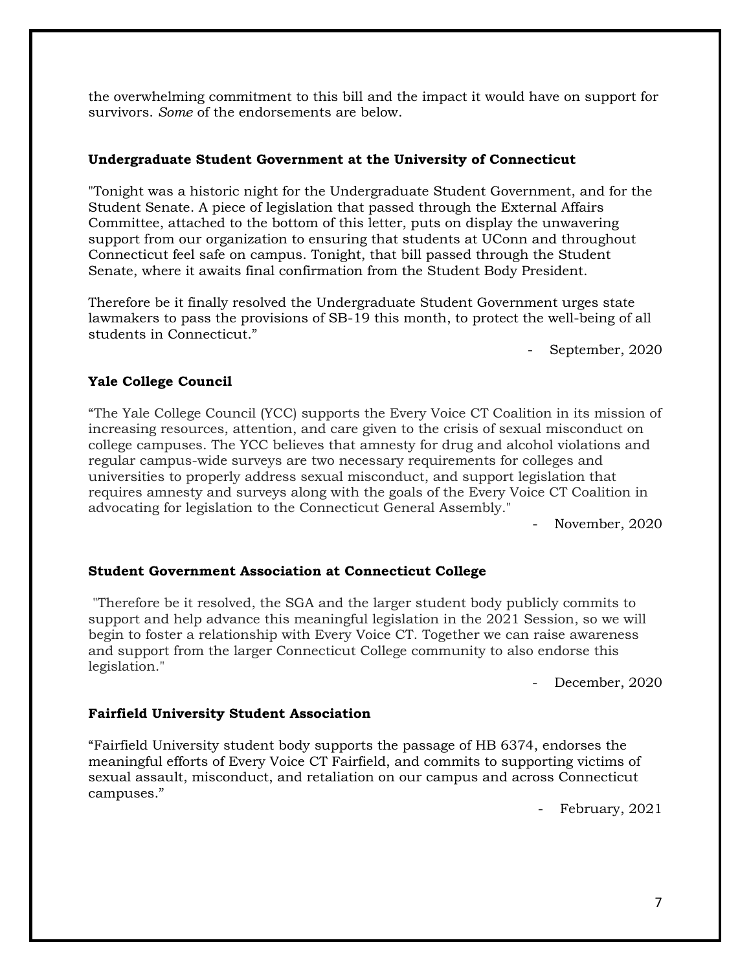the overwhelming commitment to this bill and the impact it would have on support for survivors. *Some* of the endorsements are below.

### **Undergraduate Student Government at the University of Connecticut**

"Tonight was a historic night for the Undergraduate Student Government, and for the Student Senate. A piece of legislation that passed through the External Affairs Committee, attached to the bottom of this letter, puts on display the unwavering support from our organization to ensuring that students at UConn and throughout Connecticut feel safe on campus. Tonight, that bill passed through the Student Senate, where it awaits final confirmation from the Student Body President.

Therefore be it finally resolved the Undergraduate Student Government urges state lawmakers to pass the provisions of SB-19 this month, to protect the well-being of all students in Connecticut."

September, 2020

## **Yale College Council**

"The Yale College Council (YCC) supports the Every Voice CT Coalition in its mission of increasing resources, attention, and care given to the crisis of sexual misconduct on college campuses. The YCC believes that amnesty for drug and alcohol violations and regular campus-wide surveys are two necessary requirements for colleges and universities to properly address sexual misconduct, and support legislation that requires amnesty and surveys along with the goals of the Every Voice CT Coalition in advocating for legislation to the Connecticut General Assembly."

November, 2020

## **Student Government Association at Connecticut College**

"Therefore be it resolved, the SGA and the larger student body publicly commits to support and help advance this meaningful legislation in the 2021 Session, so we will begin to foster a relationship with Every Voice CT. Together we can raise awareness and support from the larger Connecticut College community to also endorse this legislation."

December, 2020

### **Fairfield University Student Association**

"Fairfield University student body supports the passage of HB 6374, endorses the meaningful efforts of Every Voice CT Fairfield, and commits to supporting victims of sexual assault, misconduct, and retaliation on our campus and across Connecticut campuses."

February, 2021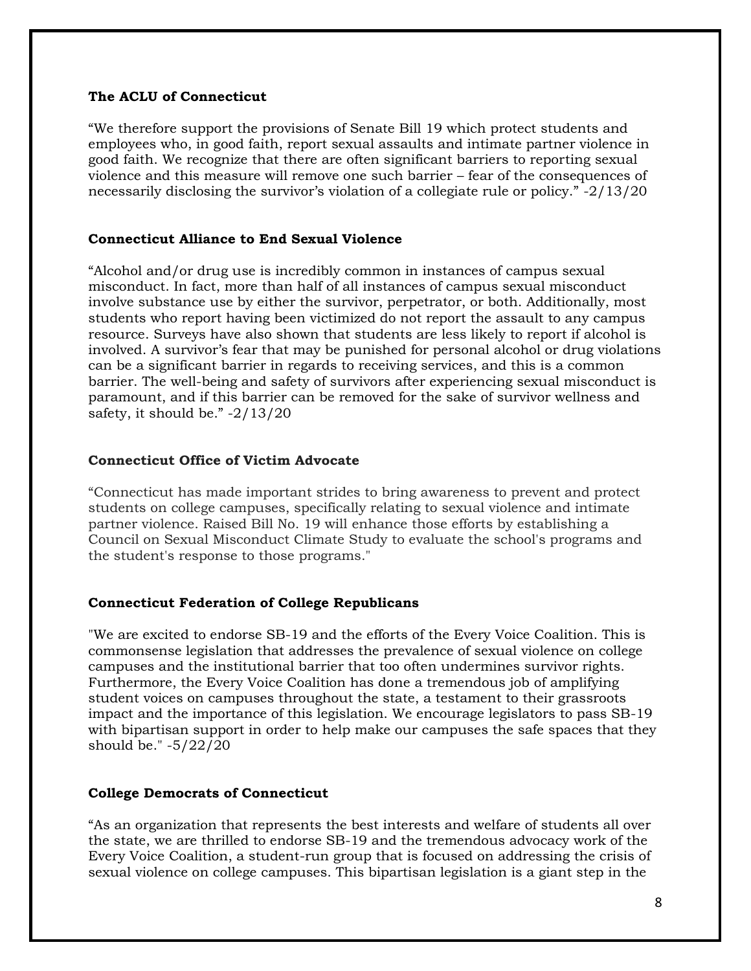#### **The ACLU of Connecticut**

"We therefore support the provisions of Senate Bill 19 which protect students and employees who, in good faith, report sexual assaults and intimate partner violence in good faith. We recognize that there are often significant barriers to reporting sexual violence and this measure will remove one such barrier – fear of the consequences of necessarily disclosing the survivor's violation of a collegiate rule or policy." -2/13/20

#### **Connecticut Alliance to End Sexual Violence**

"Alcohol and/or drug use is incredibly common in instances of campus sexual misconduct. In fact, more than half of all instances of campus sexual misconduct involve substance use by either the survivor, perpetrator, or both. Additionally, most students who report having been victimized do not report the assault to any campus resource. Surveys have also shown that students are less likely to report if alcohol is involved. A survivor's fear that may be punished for personal alcohol or drug violations can be a significant barrier in regards to receiving services, and this is a common barrier. The well-being and safety of survivors after experiencing sexual misconduct is paramount, and if this barrier can be removed for the sake of survivor wellness and safety, it should be." -2/13/20

#### **Connecticut Office of Victim Advocate**

"Connecticut has made important strides to bring awareness to prevent and protect students on college campuses, specifically relating to sexual violence and intimate partner violence. Raised Bill No. 19 will enhance those efforts by establishing a Council on Sexual Misconduct Climate Study to evaluate the school's programs and the student's response to those programs."

### **Connecticut Federation of College Republicans**

"We are excited to endorse SB-19 and the efforts of the Every Voice Coalition. This is commonsense legislation that addresses the prevalence of sexual violence on college campuses and the institutional barrier that too often undermines survivor rights. Furthermore, the Every Voice Coalition has done a tremendous job of amplifying student voices on campuses throughout the state, a testament to their grassroots impact and the importance of this legislation. We encourage legislators to pass SB-19 with bipartisan support in order to help make our campuses the safe spaces that they should be." -5/22/20

### **College Democrats of Connecticut**

"As an organization that represents the best interests and welfare of students all over the state, we are thrilled to endorse SB-19 and the tremendous advocacy work of the Every Voice Coalition, a student-run group that is focused on addressing the crisis of sexual violence on college campuses. This bipartisan legislation is a giant step in the